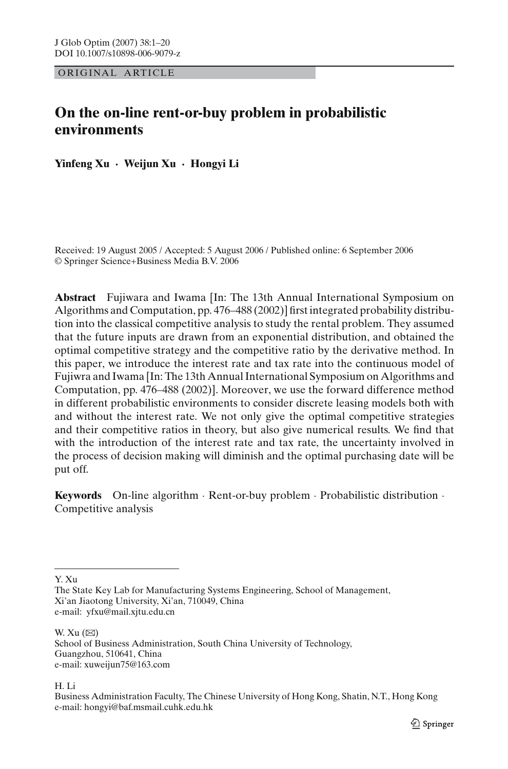ORIGINAL ARTICLE

# **On the on-line rent-or-buy problem in probabilistic environments**

**Yinfeng Xu · Weijun Xu · Hongyi Li**

Received: 19 August 2005 / Accepted: 5 August 2006 / Published online: 6 September 2006 © Springer Science+Business Media B.V. 2006

**Abstract** Fujiwara and Iwama [In: The 13th Annual International Symposium on Algorithms and Computation, pp. 476–488 (2002)] first integrated probability distribution into the classical competitive analysis to study the rental problem. They assumed that the future inputs are drawn from an exponential distribution, and obtained the optimal competitive strategy and the competitive ratio by the derivative method. In this paper, we introduce the interest rate and tax rate into the continuous model of Fujiwra and Iwama [In: The 13th Annual International Symposium on Algorithms and Computation, pp. 476–488 (2002)]. Moreover, we use the forward difference method in different probabilistic environments to consider discrete leasing models both with and without the interest rate. We not only give the optimal competitive strategies and their competitive ratios in theory, but also give numerical results. We find that with the introduction of the interest rate and tax rate, the uncertainty involved in the process of decision making will diminish and the optimal purchasing date will be put off.

**Keywords** On-line algorithm · Rent-or-buy problem · Probabilistic distribution · Competitive analysis

Y. Xu

W. Xu  $(\boxtimes)$ School of Business Administration, South China University of Technology, Guangzhou, 510641, China e-mail: xuweijun75@163.com

H. Li

The State Key Lab for Manufacturing Systems Engineering, School of Management, Xi'an Jiaotong University, Xi'an, 710049, China e-mail: yfxu@mail.xjtu.edu.cn

Business Administration Faculty, The Chinese University of Hong Kong, Shatin, N.T., Hong Kong e-mail: hongyi@baf.msmail.cuhk.edu.hk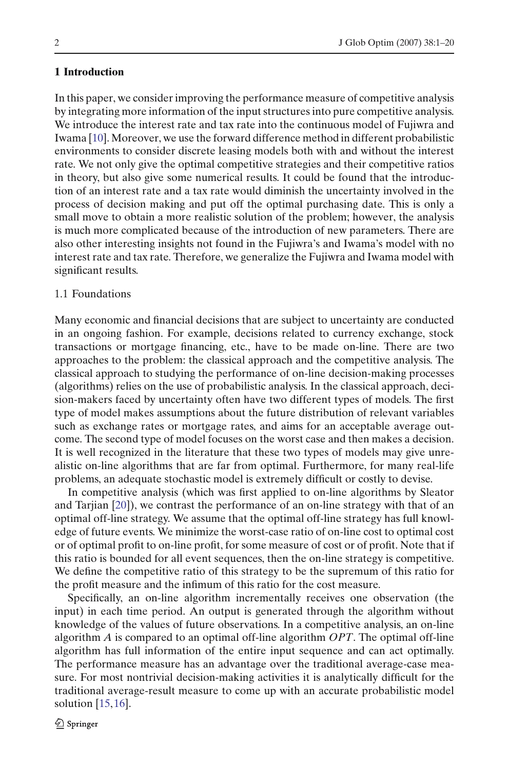### **1 Introduction**

In this paper, we consider improving the performance measure of competitive analysis by integrating more information of the input structures into pure competitive analysis. We introduce the interest rate and tax rate into the continuous model of Fujiwra and Iwama [\[10](#page-19-0)]. Moreover, we use the forward difference method in different probabilistic environments to consider discrete leasing models both with and without the interest rate. We not only give the optimal competitive strategies and their competitive ratios in theory, but also give some numerical results. It could be found that the introduction of an interest rate and a tax rate would diminish the uncertainty involved in the process of decision making and put off the optimal purchasing date. This is only a small move to obtain a more realistic solution of the problem; however, the analysis is much more complicated because of the introduction of new parameters. There are also other interesting insights not found in the Fujiwra's and Iwama's model with no interest rate and tax rate. Therefore, we generalize the Fujiwra and Iwama model with significant results.

### 1.1 Foundations

Many economic and financial decisions that are subject to uncertainty are conducted in an ongoing fashion. For example, decisions related to currency exchange, stock transactions or mortgage financing, etc., have to be made on-line. There are two approaches to the problem: the classical approach and the competitive analysis. The classical approach to studying the performance of on-line decision-making processes (algorithms) relies on the use of probabilistic analysis. In the classical approach, decision-makers faced by uncertainty often have two different types of models. The first type of model makes assumptions about the future distribution of relevant variables such as exchange rates or mortgage rates, and aims for an acceptable average outcome. The second type of model focuses on the worst case and then makes a decision. It is well recognized in the literature that these two types of models may give unrealistic on-line algorithms that are far from optimal. Furthermore, for many real-life problems, an adequate stochastic model is extremely difficult or costly to devise.

In competitive analysis (which was first applied to on-line algorithms by Sleator and Tarjian [\[20](#page-19-1)]), we contrast the performance of an on-line strategy with that of an optimal off-line strategy. We assume that the optimal off-line strategy has full knowledge of future events. We minimize the worst-case ratio of on-line cost to optimal cost or of optimal profit to on-line profit, for some measure of cost or of profit. Note that if this ratio is bounded for all event sequences, then the on-line strategy is competitive. We define the competitive ratio of this strategy to be the supremum of this ratio for the profit measure and the infimum of this ratio for the cost measure.

Specifically, an on-line algorithm incrementally receives one observation (the input) in each time period. An output is generated through the algorithm without knowledge of the values of future observations. In a competitive analysis, an on-line algorithm *A* is compared to an optimal off-line algorithm *OPT*. The optimal off-line algorithm has full information of the entire input sequence and can act optimally. The performance measure has an advantage over the traditional average-case measure. For most nontrivial decision-making activities it is analytically difficult for the traditional average-result measure to come up with an accurate probabilistic model solution  $[15, 16]$  $[15, 16]$  $[15, 16]$  $[15, 16]$ .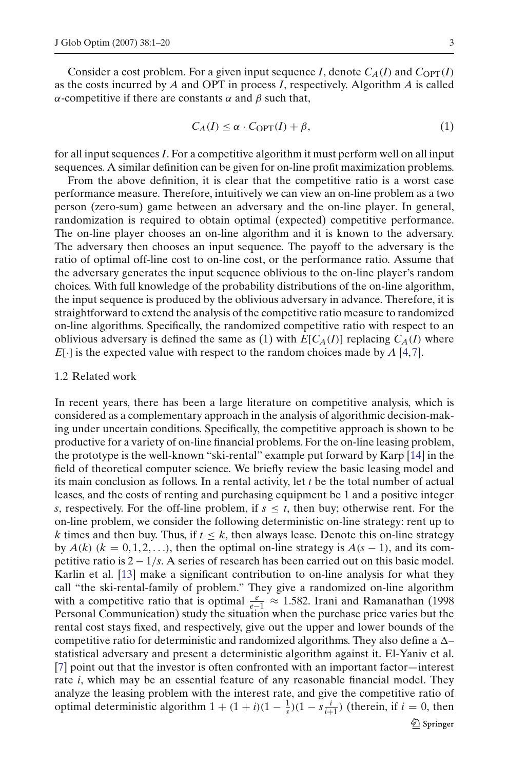Consider a cost problem. For a given input sequence *I*, denote  $C_A(I)$  and  $C_{\text{OPT}}(I)$ as the costs incurred by *A* and OPT in process *I*, respectively. Algorithm *A* is called α-competitive if there are constants  $\alpha$  and  $\beta$  such that,

$$
C_A(I) \le \alpha \cdot C_{\text{OPT}}(I) + \beta,\tag{1}
$$

for all input sequences *I*. For a competitive algorithm it must perform well on all input sequences. A similar definition can be given for on-line profit maximization problems.

From the above definition, it is clear that the competitive ratio is a worst case performance measure. Therefore, intuitively we can view an on-line problem as a two person (zero-sum) game between an adversary and the on-line player. In general, randomization is required to obtain optimal (expected) competitive performance. The on-line player chooses an on-line algorithm and it is known to the adversary. The adversary then chooses an input sequence. The payoff to the adversary is the ratio of optimal off-line cost to on-line cost, or the performance ratio. Assume that the adversary generates the input sequence oblivious to the on-line player's random choices. With full knowledge of the probability distributions of the on-line algorithm, the input sequence is produced by the oblivious adversary in advance. Therefore, it is straightforward to extend the analysis of the competitive ratio measure to randomized on-line algorithms. Specifically, the randomized competitive ratio with respect to an oblivious adversary is defined the same as (1) with  $E[C_A(I)]$  replacing  $C_A(I)$  where *E*[·] is the expected value with respect to the random choices made by *A* [\[4](#page-19-4),[7](#page-19-5)].

#### 1.2 Related work

In recent years, there has been a large literature on competitive analysis, which is considered as a complementary approach in the analysis of algorithmic decision-making under uncertain conditions. Specifically, the competitive approach is shown to be productive for a variety of on-line financial problems. For the on-line leasing problem, the prototype is the well-known "ski-rental" example put forward by Karp [\[14\]](#page-19-6) in the field of theoretical computer science. We briefly review the basic leasing model and its main conclusion as follows. In a rental activity, let *t* be the total number of actual leases, and the costs of renting and purchasing equipment be 1 and a positive integer *s*, respectively. For the off-line problem, if  $s \le t$ , then buy; otherwise rent. For the on-line problem, we consider the following deterministic on-line strategy: rent up to *k* times and then buy. Thus, if  $t \leq k$ , then always lease. Denote this on-line strategy by  $A(k)$  ( $k = 0, 1, 2, \ldots$ ), then the optimal on-line strategy is  $A(s - 1)$ , and its competitive ratio is 2 − 1/*s*. A series of research has been carried out on this basic model. Karlin et al. [\[13\]](#page-19-7) make a significant contribution to on-line analysis for what they call "the ski-rental-family of problem." They give a randomized on-line algorithm with a competitive ratio that is optimal  $\frac{e}{e-1} \approx 1.582$ . Irani and Ramanathan (1998 Personal Communication) study the situation when the purchase price varies but the rental cost stays fixed, and respectively, give out the upper and lower bounds of the competitive ratio for deterministic and randomized algorithms. They also define a  $\Delta$ statistical adversary and present a deterministic algorithm against it. El-Yaniv et al. [\[7](#page-19-5)] point out that the investor is often confronted with an important factor—interest rate *i*, which may be an essential feature of any reasonable financial model. They analyze the leasing problem with the interest rate, and give the competitive ratio of optimal deterministic algorithm  $1 + (1 + i)(1 - \frac{1}{s})(1 - s\frac{i}{i+1})$  (therein, if  $i = 0$ , then 2 Springer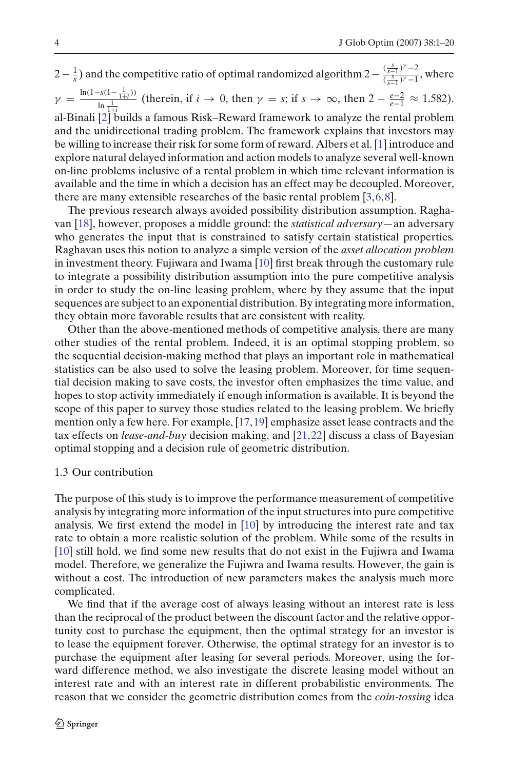$2-\frac{1}{s}$ ) and the competitive ratio of optimal randomized algorithm  $2-\frac{\left(\frac{s}{s-1}\right)^{\gamma}-2}{\left(\frac{s}{s-1}\right)^{\gamma}-1}$ , where  $\gamma = \frac{\ln(1-s(1-\frac{1}{1+i}))}{\ln 1}$  $\frac{\text{ds}(1-\frac{1}{1+i})}{\ln \frac{1}{1+i}}$  (therein, if  $i \to 0$ , then  $\gamma = s$ ; if  $s \to \infty$ , then  $2 - \frac{e-2}{e-1} \approx 1.582$ ). al-Binali [\[2\]](#page-19-8) builds a famous Risk–Reward framework to analyze the rental problem and the unidirectional trading problem. The framework explains that investors may be willing to increase their risk for some form of reward. Albers et al. [\[1\]](#page-19-9) introduce and explore natural delayed information and action models to analyze several well-known on-line problems inclusive of a rental problem in which time relevant information is available and the time in which a decision has an effect may be decoupled. Moreover, there are many extensible researches of the basic rental problem [\[3,](#page-19-10)[6,](#page-19-11)[8\]](#page-19-12).

The previous research always avoided possibility distribution assumption. Raghavan [\[18](#page-19-13)], however, proposes a middle ground: the *statistical adversary*—an adversary who generates the input that is constrained to satisfy certain statistical properties. Raghavan uses this notion to analyze a simple version of the *asset allocation problem* in investment theory. Fujiwara and Iwama [\[10](#page-19-0)] first break through the customary rule to integrate a possibility distribution assumption into the pure competitive analysis in order to study the on-line leasing problem, where by they assume that the input sequences are subject to an exponential distribution. By integrating more information, they obtain more favorable results that are consistent with reality.

Other than the above-mentioned methods of competitive analysis, there are many other studies of the rental problem. Indeed, it is an optimal stopping problem, so the sequential decision-making method that plays an important role in mathematical statistics can be also used to solve the leasing problem. Moreover, for time sequential decision making to save costs, the investor often emphasizes the time value, and hopes to stop activity immediately if enough information is available. It is beyond the scope of this paper to survey those studies related to the leasing problem. We briefly mention only a few here. For example, [\[17](#page-19-14),[19\]](#page-19-15) emphasize asset lease contracts and the tax effects on *lease-and-buy* decision making, and [\[21](#page-19-16)[,22\]](#page-19-17) discuss a class of Bayesian optimal stopping and a decision rule of geometric distribution.

# 1.3 Our contribution

The purpose of this study is to improve the performance measurement of competitive analysis by integrating more information of the input structures into pure competitive analysis. We first extend the model in [\[10\]](#page-19-0) by introducing the interest rate and tax rate to obtain a more realistic solution of the problem. While some of the results in [\[10\]](#page-19-0) still hold, we find some new results that do not exist in the Fujiwra and Iwama model. Therefore, we generalize the Fujiwra and Iwama results. However, the gain is without a cost. The introduction of new parameters makes the analysis much more complicated.

We find that if the average cost of always leasing without an interest rate is less than the reciprocal of the product between the discount factor and the relative opportunity cost to purchase the equipment, then the optimal strategy for an investor is to lease the equipment forever. Otherwise, the optimal strategy for an investor is to purchase the equipment after leasing for several periods. Moreover, using the forward difference method, we also investigate the discrete leasing model without an interest rate and with an interest rate in different probabilistic environments. The reason that we consider the geometric distribution comes from the *coin-tossing* idea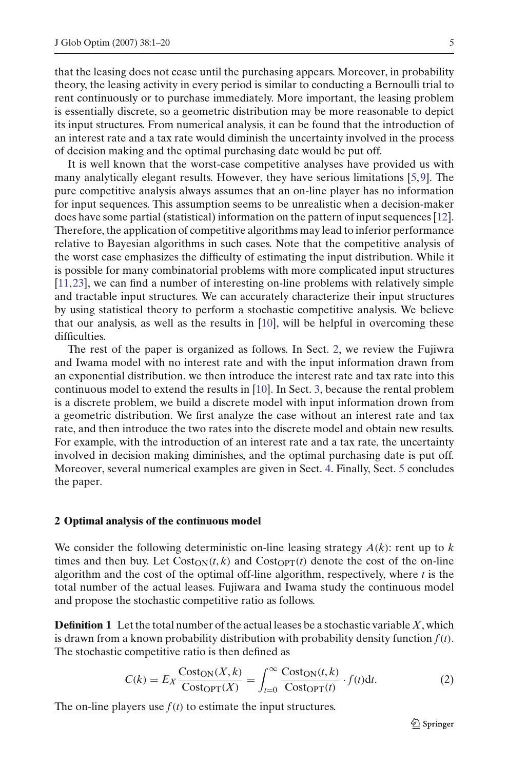that the leasing does not cease until the purchasing appears. Moreover, in probability theory, the leasing activity in every period is similar to conducting a Bernoulli trial to rent continuously or to purchase immediately. More important, the leasing problem is essentially discrete, so a geometric distribution may be more reasonable to depict its input structures. From numerical analysis, it can be found that the introduction of an interest rate and a tax rate would diminish the uncertainty involved in the process of decision making and the optimal purchasing date would be put off.

It is well known that the worst-case competitive analyses have provided us with many analytically elegant results. However, they have serious limitations [\[5](#page-19-18),[9\]](#page-19-19). The pure competitive analysis always assumes that an on-line player has no information for input sequences. This assumption seems to be unrealistic when a decision-maker does have some partial (statistical) information on the pattern of input sequences [\[12\]](#page-19-20). Therefore, the application of competitive algorithms may lead to inferior performance relative to Bayesian algorithms in such cases. Note that the competitive analysis of the worst case emphasizes the difficulty of estimating the input distribution. While it is possible for many combinatorial problems with more complicated input structures [\[11,](#page-19-21)[23\]](#page-19-22), we can find a number of interesting on-line problems with relatively simple and tractable input structures. We can accurately characterize their input structures by using statistical theory to perform a stochastic competitive analysis. We believe that our analysis, as well as the results in [\[10\]](#page-19-0), will be helpful in overcoming these difficulties.

The rest of the paper is organized as follows. In Sect. [2,](#page-4-0) we review the Fujiwra and Iwama model with no interest rate and with the input information drawn from an exponential distribution. we then introduce the interest rate and tax rate into this continuous model to extend the results in [\[10](#page-19-0)]. In Sect. [3,](#page-9-0) because the rental problem is a discrete problem, we build a discrete model with input information drown from a geometric distribution. We first analyze the case without an interest rate and tax rate, and then introduce the two rates into the discrete model and obtain new results. For example, with the introduction of an interest rate and a tax rate, the uncertainty involved in decision making diminishes, and the optimal purchasing date is put off. Moreover, several numerical examples are given in Sect. [4.](#page-14-0) Finally, Sect. [5](#page-18-0) concludes the paper.

#### <span id="page-4-0"></span>**2 Optimal analysis of the continuous model**

We consider the following deterministic on-line leasing strategy  $A(k)$ : rent up to  $k$ times and then buy. Let  $Cost_{ON}(t, k)$  and  $Cost_{OPT}(t)$  denote the cost of the on-line algorithm and the cost of the optimal off-line algorithm, respectively, where *t* is the total number of the actual leases. Fujiwara and Iwama study the continuous model and propose the stochastic competitive ratio as follows.

**Definition 1** Let the total number of the actual leases be a stochastic variable *X*, which is drawn from a known probability distribution with probability density function  $f(t)$ . The stochastic competitive ratio is then defined as

$$
C(k) = E_X \frac{\text{Cost}_{\text{ON}}(X,k)}{\text{Cost}_{\text{OPT}}(X)} = \int_{t=0}^{\infty} \frac{\text{Cost}_{\text{ON}}(t,k)}{\text{Cost}_{\text{OPT}}(t)} \cdot f(t) \, dt. \tag{2}
$$

<span id="page-4-1"></span>The on-line players use  $f(t)$  to estimate the input structures.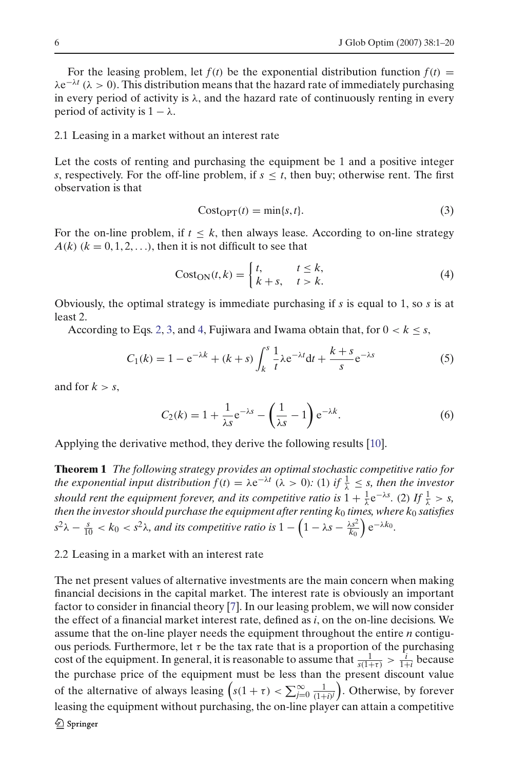For the leasing problem, let  $f(t)$  be the exponential distribution function  $f(t)$  =  $\lambda e^{-\lambda t}$  ( $\lambda > 0$ ). This distribution means that the hazard rate of immediately purchasing in every period of activity is  $\lambda$ , and the hazard rate of continuously renting in every period of activity is  $1 - \lambda$ .

### 2.1 Leasing in a market without an interest rate

Let the costs of renting and purchasing the equipment be 1 and a positive integer *s*, respectively. For the off-line problem, if  $s \leq t$ , then buy; otherwise rent. The first observation is that

$$
CostOPT(t) = min\{s, t\}.
$$
\n(3)

<span id="page-5-0"></span>For the on-line problem, if  $t \leq k$ , then always lease. According to on-line strategy  $A(k)$  ( $k = 0, 1, 2, \ldots$ ), then it is not difficult to see that

$$
Cost_{ON}(t,k) = \begin{cases} t, & t \le k, \\ k+s, & t > k. \end{cases}
$$
 (4)

<span id="page-5-1"></span>Obviously, the optimal strategy is immediate purchasing if *s* is equal to 1, so *s* is at least 2.

According to Eqs. [2,](#page-4-1) [3,](#page-5-0) and [4,](#page-5-1) Fujiwara and Iwama obtain that, for  $0 < k \leq s$ ,

$$
C_1(k) = 1 - e^{-\lambda k} + (k + s) \int_k^s \frac{1}{t} \lambda e^{-\lambda t} dt + \frac{k + s}{s} e^{-\lambda s}
$$
 (5)

<span id="page-5-3"></span><span id="page-5-2"></span>and for  $k > s$ ,

$$
C_2(k) = 1 + \frac{1}{\lambda s} e^{-\lambda s} - \left(\frac{1}{\lambda s} - 1\right) e^{-\lambda k}.
$$
 (6)

<span id="page-5-4"></span>Applying the derivative method, they derive the following results [\[10\]](#page-19-0).

**Theorem 1** *The following strategy provides an optimal stochastic competitive ratio for the exponential input distribution*  $f(t) = \lambda e^{-\lambda t}$  ( $\lambda > 0$ ): (1) *if*  $\frac{1}{\lambda} \leq s$ *, then the investor should rent the equipment forever, and its competitive ratio is*  $1 + \frac{1}{\lambda} e^{-\lambda s}$ . (2) If  $\frac{1}{\lambda} > s$ , *then the investor should purchase the equipment after renting k*<sup>0</sup> *times, where k*<sup>0</sup> *satisfies*  $s^2\lambda - \frac{s}{10} < k_0 < s^2\lambda$ , and its competitive ratio is  $1 - \left(1 - \lambda s - \frac{\lambda s^2}{k_0}\right)e^{-\lambda k_0}$ .

# 2.2 Leasing in a market with an interest rate

The net present values of alternative investments are the main concern when making financial decisions in the capital market. The interest rate is obviously an important factor to consider in financial theory [\[7](#page-19-5)]. In our leasing problem, we will now consider the effect of a financial market interest rate, defined as *i*, on the on-line decisions. We assume that the on-line player needs the equipment throughout the entire *n* contiguous periods. Furthermore, let  $\tau$  be the tax rate that is a proportion of the purchasing cost of the equipment. In general, it is reasonable to assume that  $\frac{1}{s(1+\tau)} > \frac{i}{1+i}$  because the purchase price of the equipment must be less than the present discount value of the alternative of always leasing  $\left(s(1 + \tau) < \sum_{j=0}^{\infty} \frac{1}{(1+i)^j}\right)$ . Otherwise, by forever leasing the equipment without purchasing, the on-line player can attain a competitive2 Springer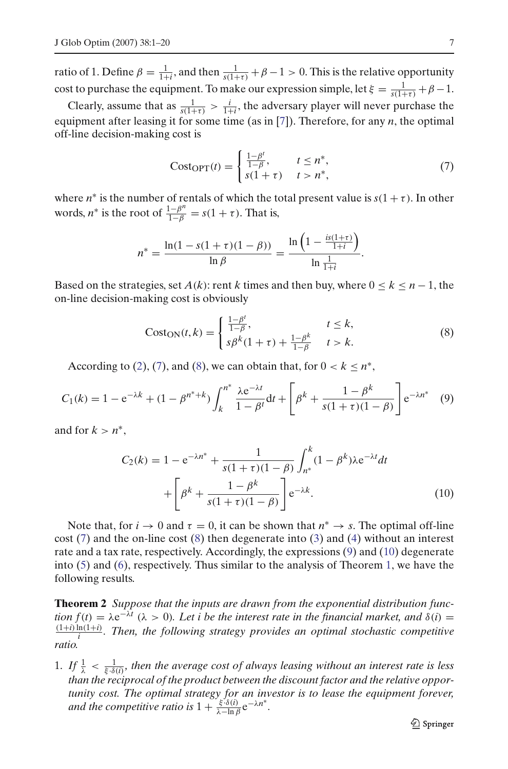ratio of 1. Define  $\beta = \frac{1}{1+i}$ , and then  $\frac{1}{s(1+\tau)} + \beta - 1 > 0$ . This is the relative opportunity cost to purchase the equipment. To make our expression simple, let  $\xi = \frac{1}{s(1+\tau)} + \beta - 1$ .

Clearly, assume that as  $\frac{1}{s(1+\tau)} > \frac{i}{1+i}$ , the adversary player will never purchase the equipment after leasing it for some time (as in [\[7\]](#page-19-5)). Therefore, for any *n*, the optimal off-line decision-making cost is

$$
Cost_{\text{OPT}}(t) = \begin{cases} \frac{1-\beta'}{1-\beta}, & t \le n^*, \\ s(1+\tau) & t > n^*, \end{cases} \tag{7}
$$

<span id="page-6-0"></span>where  $n^*$  is the number of rentals of which the total present value is  $s(1 + \tau)$ . In other words, *n*<sup>\*</sup> is the root of  $\frac{1-\beta^n}{1-\beta} = s(1+\tau)$ . That is,

$$
n^* = \frac{\ln(1 - s(1 + \tau)(1 - \beta))}{\ln \beta} = \frac{\ln\left(1 - \frac{is(1 + \tau)}{1 + i}\right)}{\ln \frac{1}{1 + i}}.
$$

Based on the strategies, set  $A(k)$ : rent k times and then buy, where  $0 \le k \le n - 1$ , the on-line decision-making cost is obviously

$$
Cost_{ON}(t,k) = \begin{cases} \frac{1-\beta^t}{1-\beta}, & t \le k, \\ s\beta^k(1+\tau) + \frac{1-\beta^k}{1-\beta} & t > k. \end{cases}
$$
(8)

<span id="page-6-1"></span>According to [\(2\)](#page-4-1), [\(7\)](#page-6-0), and [\(8\)](#page-6-1), we can obtain that, for  $0 < k \le n^*$ ,

$$
C_1(k) = 1 - e^{-\lambda k} + (1 - \beta^{n^* + k}) \int_k^{n^*} \frac{\lambda e^{-\lambda t}}{1 - \beta^t} dt + \left[ \beta^k + \frac{1 - \beta^k}{s(1 + \tau)(1 - \beta)} \right] e^{-\lambda n^*} \tag{9}
$$

<span id="page-6-3"></span><span id="page-6-2"></span>and for  $k > n^*$ ,

$$
C_2(k) = 1 - e^{-\lambda n^*} + \frac{1}{s(1+\tau)(1-\beta)} \int_{n^*}^{k} (1-\beta^k) \lambda e^{-\lambda t} dt
$$

$$
+ \left[ \beta^k + \frac{1-\beta^k}{s(1+\tau)(1-\beta)} \right] e^{-\lambda k}.
$$
(10)

Note that, for  $i \to 0$  and  $\tau = 0$ , it can be shown that  $n^* \to s$ . The optimal off-line cost  $(7)$  and the on-line cost  $(8)$  then degenerate into  $(3)$  and  $(4)$  without an interest rate and a tax rate, respectively. Accordingly, the expressions [\(9\)](#page-6-2) and [\(10\)](#page-6-3) degenerate into [\(5\)](#page-5-2) and [\(6\)](#page-5-3), respectively. Thus similar to the analysis of Theorem [1,](#page-5-4) we have the following results.

<span id="page-6-4"></span>**Theorem 2** *Suppose that the inputs are drawn from the exponential distribution function*  $f(t) = \lambda e^{-\lambda t}$  ( $\lambda > 0$ ). Let *i* be the interest rate in the financial market, and  $\delta(i) =$  $\frac{(1+i)\ln(1+i)}{i}$ . Then, the following strategy provides an optimal stochastic competitive *ratio.*

1. If  $\frac{1}{\lambda} < \frac{1}{\xi \cdot \delta(i)}$ , then the average cost of always leasing without an interest rate is less *than the reciprocal of the product between the discount factor and the relative opportunity cost. The optimal strategy for an investor is to lease the equipment forever, and the competitive ratio is*  $1 + \frac{\xi^2 \delta(i)}{\lambda - \ln \beta} e^{-\lambda n^*}$ .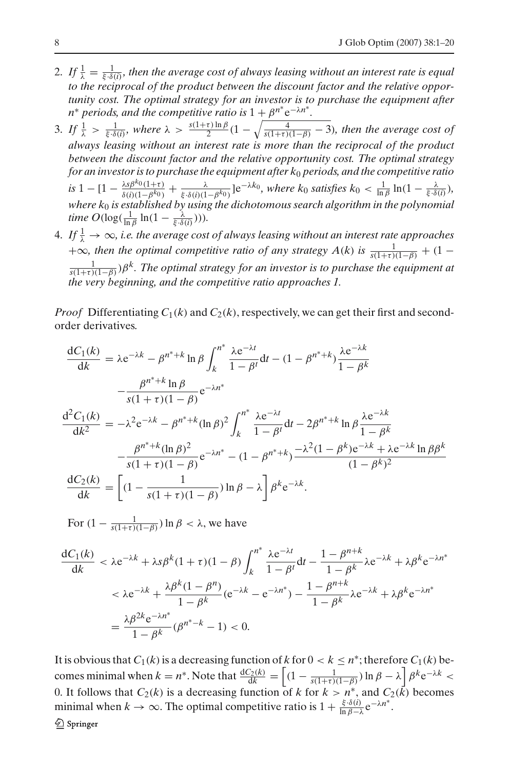- 2. If  $\frac{1}{\lambda} = \frac{1}{\xi \cdot \delta(i)}$ , then the average cost of always leasing without an interest rate is equal *to the reciprocal of the product between the discount factor and the relative opportunity cost. The optimal strategy for an investor is to purchase the equipment after n*<sup>\*</sup> *periods, and the competitive ratio is*  $1 + \beta^{n^*} e^{-\lambda n^*}$ .
- 3. If  $\frac{1}{\lambda} > \frac{1}{\xi \cdot \delta(i)}$ , where  $\lambda > \frac{s(1+\tau)\ln\beta}{2}(1-\sqrt{\frac{4}{s(1+\tau)(1-\beta)}}-3)$ , then the average cost of *always leasing without an interest rate is more than the reciprocal of the product between the discount factor and the relative opportunity cost. The optimal strategy for an investor is to purchase the equipment after k*<sup>0</sup> *periods, and the competitive ratio*  $is$  1 - [1 -  $\frac{\lambda s \beta^{k_0}(1+\tau)}{\delta(i)(1-\beta^{k_0})} + \frac{\lambda}{\xi \cdot \delta(i)(1-\beta^{k_0})}$ ]e<sup>- $\lambda k_0$ </sup>*, where k*<sub>0</sub> *satisfies k*<sub>0</sub> <  $\frac{1}{\ln \beta}$  ln(1 -  $\frac{\lambda}{\xi \cdot \delta(i)}$ )*, where k*<sup>0</sup> *is established by using the dichotomous search algorithm in the polynomial time*  $O(\log(\frac{1}{\ln \beta} \ln(1 - \frac{\lambda}{\xi \cdot \delta(i)}))).$
- 4. If  $\frac{1}{\lambda} \to \infty$ , i.e. the average cost of always leasing without an interest rate approaches  $+\infty$ *, then the optimal competitive ratio of any strategy A(k) is*  $\frac{1}{s(1+\tau)(1-\beta)} + (1-\tau)(1-\tau)$ 1 *<sup>s</sup>*(1+τ )(1−β))β*k. The optimal strategy for an investor is to purchase the equipment at the very beginning, and the competitive ratio approaches 1.*

*Proof* Differentiating  $C_1(k)$  and  $C_2(k)$ , respectively, we can get their first and secondorder derivatives.

$$
\frac{dC_1(k)}{dk} = \lambda e^{-\lambda k} - \beta^{n^*+k} \ln \beta \int_k^{n^*} \frac{\lambda e^{-\lambda t}}{1 - \beta^t} dt - (1 - \beta^{n^*+k}) \frac{\lambda e^{-\lambda k}}{1 - \beta^k}
$$

$$
- \frac{\beta^{n^*+k} \ln \beta}{s(1 + \tau)(1 - \beta)} e^{-\lambda n^*}
$$

$$
\frac{d^2C_1(k)}{dk^2} = -\lambda^2 e^{-\lambda k} - \beta^{n^*+k} (\ln \beta)^2 \int_k^{n^*} \frac{\lambda e^{-\lambda t}}{1 - \beta^t} dt - 2\beta^{n^*+k} \ln \beta \frac{\lambda e^{-\lambda k}}{1 - \beta^k}
$$

$$
- \frac{\beta^{n^*+k} (\ln \beta)^2}{s(1 + \tau)(1 - \beta)} e^{-\lambda n^*} - (1 - \beta^{n^*+k}) \frac{-\lambda^2 (1 - \beta^k) e^{-\lambda k} + \lambda e^{-\lambda k} \ln \beta \beta^k}{(1 - \beta^k)^2}
$$

$$
\frac{dC_2(k)}{dk} = \left[ (1 - \frac{1}{s(1 + \tau)(1 - \beta)}) \ln \beta - \lambda \right] \beta^k e^{-\lambda k}.
$$

For  $(1 - \frac{1}{s(1+\tau)(1-\beta)}) \ln \beta < \lambda$ , we have

$$
\frac{dC_1(k)}{dk} < \lambda e^{-\lambda k} + \lambda s \beta^k (1 + \tau)(1 - \beta) \int_k^{n^*} \frac{\lambda e^{-\lambda t}}{1 - \beta^l} dt - \frac{1 - \beta^{n+k}}{1 - \beta^k} \lambda e^{-\lambda k} + \lambda \beta^k e^{-\lambda n^*}
$$

$$
< \lambda e^{-\lambda k} + \frac{\lambda \beta^k (1 - \beta^n)}{1 - \beta^k} (e^{-\lambda k} - e^{-\lambda n^*}) - \frac{1 - \beta^{n+k}}{1 - \beta^k} \lambda e^{-\lambda k} + \lambda \beta^k e^{-\lambda n^*}
$$

$$
= \frac{\lambda \beta^{2k} e^{-\lambda n^*}}{1 - \beta^k} (\beta^{n^* - k} - 1) < 0.
$$

It is obvious that  $C_1(k)$  is a decreasing function of  $k$  for  $0 < k \leq n^*$ ; therefore  $C_1(k)$  becomes minimal when  $k = n^*$ . Note that  $\frac{dC_2(k)}{dk} = \left[ (1 - \frac{1}{s(1+\tau)(1-\beta)}) \ln \beta - \lambda \right] \beta^k e^{-\lambda k}$ 0. It follows that  $C_2(k)$  is a decreasing function of *k* for  $k > n^*$ , and  $C_2(k)$  becomes minimal when  $k \to \infty$ . The optimal competitive ratio is  $1 + \frac{\xi \cdot \delta(i)}{\ln \beta - \lambda} e^{-\lambda n^*}$ . 2 Springer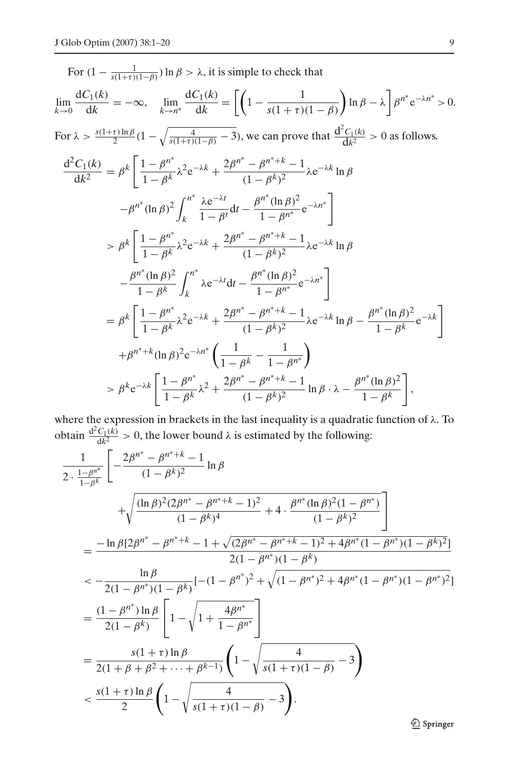For 
$$
(1 - \frac{1}{s(1+\tau)(1-\beta)})
$$
 ln  $\beta > \lambda$ , it is simple to check that  
\n
$$
\lim_{k \to 0} \frac{dC_1(k)}{dk} = -\infty, \quad \lim_{k \to n^*} \frac{dC_1(k)}{dk} = \left[ \left( 1 - \frac{1}{s(1+\tau)(1-\beta)} \right) \ln \beta - \lambda \right] \beta^{n^*} e^{-\lambda n^*} > 0.
$$
\nFor  $\lambda > \frac{s(1+\tau)\ln \beta}{2}(1 - \sqrt{\frac{4}{s(1+\tau)(1-\beta)} - 3})$ , we can prove that  $\frac{d^2C_1(k)}{dk^2} > 0$  as follows.  
\n
$$
\frac{d^2C_1(k)}{dk^2} = \beta^k \left[ \frac{1 - \beta^{n^*}}{1 - \beta^k} \lambda^2 e^{-\lambda k} + \frac{2\beta^{n^*} - \beta^{n^*+k} - 1}{(1 - \beta^k)^2} \lambda e^{-\lambda k} \ln \beta - \beta^{n^*} (\ln \beta)^2 \int_k^{n^*} \frac{\lambda e^{-\lambda t}}{1 - \beta^t} dt - \frac{\beta^{n^*} (\ln \beta)^2}{1 - \beta^{n^*}} e^{-\lambda n^*} \right]
$$
\n
$$
> \beta^k \left[ \frac{1 - \beta^{n^*}}{1 - \beta^k} \lambda^2 e^{-\lambda k} + \frac{2\beta^{n^*} - \beta^{n^*+k} - 1}{(1 - \beta^k)^2} \lambda e^{-\lambda k} \ln \beta - \frac{\beta^{n^*} (\ln \beta)^2}{1 - \beta^k} \int_k^{n^*} \lambda e^{-\lambda t} dt - \frac{\beta^{n^*} (\ln \beta)^2}{1 - \beta^{n^*}} e^{-\lambda n^*} \right]
$$
\n
$$
= \beta^k \left[ \frac{1 - \beta^{n^*}}{1 - \beta^k} \lambda^2 e^{-\lambda k} + \frac{2\beta^{n^*} - \beta^{n^*+k} - 1}{(1 - \beta^k)^2} \lambda e^{-\lambda k} \ln \beta - \frac{\beta^{n^*} (\ln \beta)^2}{1 - \beta^k} e^{-\lambda k} \right]
$$
\n
$$
+ \beta^{n^*+k} (\ln \beta)^2 e^{-\lambda n^*} \left( \frac{
$$

where the expression in brackets in the last inequality is a quadratic function of  $\lambda$ . To obtain  $\frac{d^2C_1(k)}{dk^2} > 0$ , the lower bound  $\lambda$  is estimated by the following:

$$
\frac{1}{2 \cdot \frac{1-\beta^{n^*}}{1-\beta^k}} \left[ -\frac{2\beta^{n^*} - \beta^{n^*+k} - 1}{(1-\beta^k)^2} \ln \beta \right. \\
\left. + \sqrt{\frac{(\ln \beta)^2 (2\beta^{n^*} - \beta^{n^*+k} - 1)^2}{(1-\beta^k)^4} + 4 \cdot \frac{\beta^{n^*} (\ln \beta)^2 (1-\beta^{n^*})}{(1-\beta^k)^2}} \right] \\
= \frac{-\ln \beta [2\beta^{n^*} - \beta^{n^*+k} - 1 + \sqrt{(2\beta^{n^*} - \beta^{n^*+k} - 1)^2 + 4\beta^{n^*} (1-\beta^{n^*}) (1-\beta^k)^2}]}{2(1-\beta^{n^*}) (1-\beta^k)} \\
\leq -\frac{\ln \beta}{2(1-\beta^{n^*}) (1-\beta^k)} \left[ -(1-\beta^{n^*})^2 + \sqrt{(1-\beta^{n^*})^2 + 4\beta^{n^*} (1-\beta^{n^*}) (1-\beta^{n^*})^2} \right] \\
= \frac{(1-\beta^{n^*}) \ln \beta}{2(1-\beta^k)} \left[ 1 - \sqrt{1 + \frac{4\beta^{n^*}}{1-\beta^{n^*}}} \right] \\
= \frac{s(1+\tau) \ln \beta}{2(1+\beta+\beta^2+\cdots+\beta^{k-1})} \left( 1 - \sqrt{\frac{4}{s(1+\tau)(1-\beta)}} - 3 \right) \\
\leq \frac{s(1+\tau) \ln \beta}{2} \left( 1 - \sqrt{\frac{4}{s(1+\tau)(1-\beta)}} - 3 \right).
$$

*<sup>1</sup>* Springer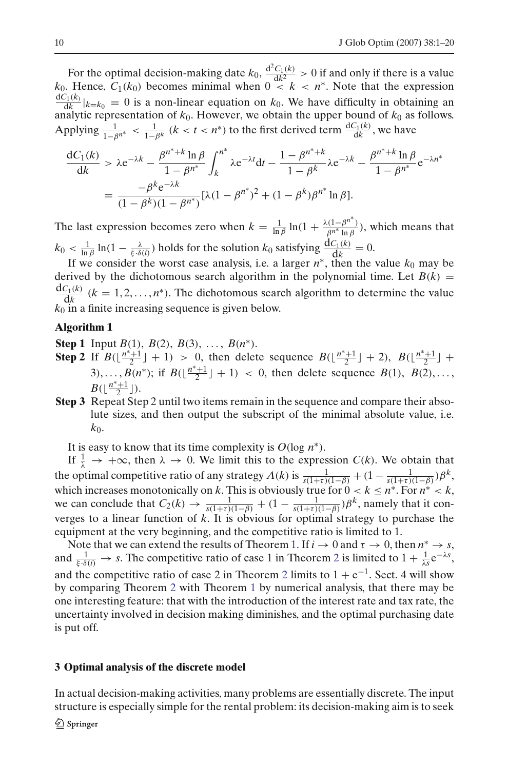For the optimal decision-making date  $k_0$ ,  $\frac{d^2C_1(k)}{dk^2} > 0$  if and only if there is a value *k*<sub>0</sub>. Hence,  $C_1(k_0)$  becomes minimal when  $0 \le k \le n^*$ . Note that the expression  $\frac{dC_1(k)}{dk}|_{k=k_0} = 0$  is a non-linear equation on  $k_0$ . We have difficulty in obtaining an analytic representation of *k*0. However, we obtain the upper bound of *k*<sup>0</sup> as follows. Applying  $\frac{1}{1-\beta^{n^*}} < \frac{1}{1-\beta^k}$  ( $k < t < n^*$ ) to the first derived term  $\frac{dC_1(k)}{dk}$ , we have

$$
\frac{dC_1(k)}{dk} > \lambda e^{-\lambda k} - \frac{\beta^{n^*+k} \ln \beta}{1 - \beta^{n^*}} \int_k^{n^*} \lambda e^{-\lambda t} dt - \frac{1 - \beta^{n^*+k}}{1 - \beta^k} \lambda e^{-\lambda k} - \frac{\beta^{n^*+k} \ln \beta}{1 - \beta^{n^*}} e^{-\lambda n^*}
$$

$$
= \frac{-\beta^k e^{-\lambda k}}{(1 - \beta^k)(1 - \beta^{n^*})} [\lambda (1 - \beta^{n^*})^2 + (1 - \beta^k)\beta^{n^*} \ln \beta].
$$

The last expression becomes zero when  $k = \frac{1}{\ln \beta} \ln(1 + \frac{\lambda(1 - \beta^{n^*})}{\beta^{n^*} \ln \beta})$ , which means that  $k_0 < \frac{1}{\ln \beta} \ln(1 - \frac{\lambda}{\xi \cdot \delta(i)})$  holds for the solution  $k_0$  satisfying  $\frac{dC_1(k)}{dk} = 0$ .

If we consider the worst case analysis, i.e. a larger  $n^*$ , then the value  $k_0$  may be derived by the dichotomous search algorithm in the polynomial time. Let  $B(k)$  =  $\frac{dC_1(k)}{dk}$  ( $k = 1, 2, ..., n^*$ ). The dichotomous search algorithm to determine the value *k*<sup>0</sup> in a finite increasing sequence is given below.

# **Algorithm 1**

**Step 1** Input *B*(1), *B*(2), *B*(3), ..., *B*(*n*<sup>\*</sup>).

- **Step 2** If  $B(\lfloor \frac{n^*+1}{2} \rfloor + 1) > 0$ , then delete sequence  $B(\lfloor \frac{n^*+1}{2} \rfloor + 2)$ ,  $B(\lfloor \frac{n^*+1}{2} \rfloor + 1)$ 3),...,  $B(n^*)$ ; if  $B(\lfloor \frac{n^*+1}{2} \rfloor + 1) < 0$ , then delete sequence  $B(1)$ ,  $B(2)$ ,...  $B(\lfloor \frac{n^*+1}{2} \rfloor).$
- **Step 3** Repeat Step 2 until two items remain in the sequence and compare their absolute sizes, and then output the subscript of the minimal absolute value, i.e.  $k_0$ .

It is easy to know that its time complexity is  $O(\log n^*)$ .

If  $\frac{1}{\lambda} \to +\infty$ , then  $\lambda \to 0$ . We limit this to the expression *C(k)*. We obtain that the optimal competitive ratio of any strategy  $A(k)$  is  $\frac{1}{s(1+\tau)(1-\beta)} + (1 - \frac{1}{s(1+\tau)(1-\beta)})\beta^k$ , which increases monotonically on *k*. This is obviously true for  $0 < k \le n^*$ . For  $n^* < k$ , we can conclude that  $C_2(k) \to \frac{1}{s(1+\tau)(1-\beta)} + (1 - \frac{1}{s(1+\tau)(1-\beta)})\beta^k$ , namely that it converges to a linear function of *k*. It is obvious for optimal strategy to purchase the equipment at the very beginning, and the competitive ratio is limited to 1.

Note that we can extend the results of Theorem [1.](#page-5-4) If  $i \to 0$  and  $\tau \to 0$ , then  $n^* \to s$ , and  $\frac{1}{\xi \cdot \delta(i)} \to s$ . The competitive ratio of case 1 in Theorem [2](#page-6-4) is limited to  $1 + \frac{1}{\lambda s} e^{-\lambda s}$ , and the competitive ratio of case [2](#page-6-4) in Theorem 2 limits to  $1 + e^{-1}$ . Sect. 4 will show by comparing Theorem [2](#page-6-4) with Theorem [1](#page-5-4) by numerical analysis, that there may be one interesting feature: that with the introduction of the interest rate and tax rate, the uncertainty involved in decision making diminishes, and the optimal purchasing date is put off.

### <span id="page-9-0"></span>**3 Optimal analysis of the discrete model**

In actual decision-making activities, many problems are essentially discrete. The input structure is especially simple for the rental problem: its decision-making aim is to seek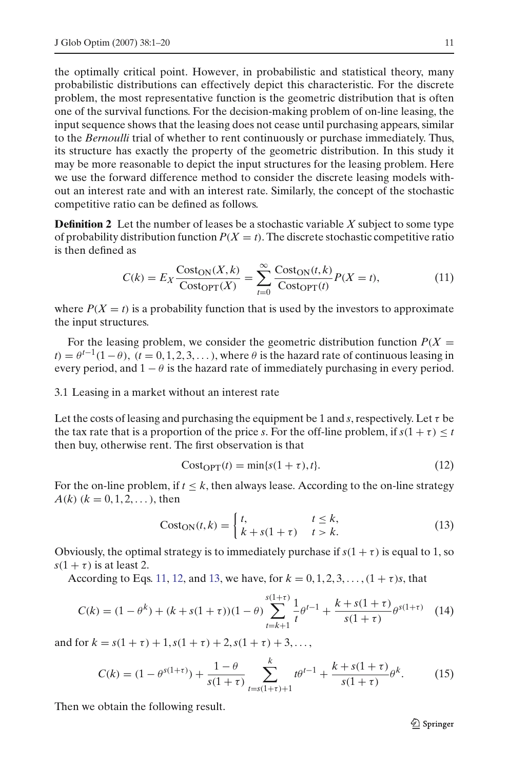the optimally critical point. However, in probabilistic and statistical theory, many probabilistic distributions can effectively depict this characteristic. For the discrete problem, the most representative function is the geometric distribution that is often one of the survival functions. For the decision-making problem of on-line leasing, the input sequence shows that the leasing does not cease until purchasing appears, similar to the *Bernoulli* trial of whether to rent continuously or purchase immediately. Thus, its structure has exactly the property of the geometric distribution. In this study it may be more reasonable to depict the input structures for the leasing problem. Here we use the forward difference method to consider the discrete leasing models without an interest rate and with an interest rate. Similarly, the concept of the stochastic competitive ratio can be defined as follows.

**Definition 2** Let the number of leases be a stochastic variable *X* subject to some type of probability distribution function  $P(X = t)$ . The discrete stochastic competitive ratio is then defined as

$$
C(k) = E_X \frac{\text{Cost}_\text{ON}(X,k)}{\text{Cost}_\text{OPT}(X)} = \sum_{t=0}^{\infty} \frac{\text{Cost}_\text{ON}(t,k)}{\text{Cost}_\text{OPT}(t)} P(X=t),\tag{11}
$$

<span id="page-10-0"></span>where  $P(X = t)$  is a probability function that is used by the investors to approximate the input structures.

For the leasing problem, we consider the geometric distribution function  $P(X =$  $t$ ) =  $\theta$ <sup>*t*-1</sup>(1− $\theta$ ), (*t* = 0, 1, 2, 3, ...), where  $\theta$  is the hazard rate of continuous leasing in every period, and  $1 - \theta$  is the hazard rate of immediately purchasing in every period.

### 3.1 Leasing in a market without an interest rate

Let the costs of leasing and purchasing the equipment be 1 and *s*, respectively. Let  $\tau$  be the tax rate that is a proportion of the price *s*. For the off-line problem, if  $s(1 + \tau) \leq t$ then buy, otherwise rent. The first observation is that

$$
CostOPT(t) = min{s(1 + \tau), t}.
$$
\n(12)

<span id="page-10-1"></span>For the on-line problem, if  $t \leq k$ , then always lease. According to the on-line strategy  $A(k)$  ( $k = 0, 1, 2, \ldots$ ), then

$$
Cost_{ON}(t,k) = \begin{cases} t, & t \le k, \\ k + s(1 + \tau) & t > k. \end{cases}
$$
(13)

<span id="page-10-2"></span>Obviously, the optimal strategy is to immediately purchase if  $s(1 + \tau)$  is equal to 1, so  $s(1 + \tau)$  is at least 2.

According to Eqs. [11,](#page-10-0) [12,](#page-10-1) and [13,](#page-10-2) we have, for  $k = 0, 1, 2, 3, ..., (1 + \tau)s$ , that

$$
C(k) = (1 - \theta^k) + (k + s(1 + \tau))(1 - \theta) \sum_{t = k + 1}^{s(1 + \tau)} \frac{1}{t} \theta^{t - 1} + \frac{k + s(1 + \tau)}{s(1 + \tau)} \theta^{s(1 + \tau)}
$$
(14)

<span id="page-10-4"></span><span id="page-10-3"></span>and for  $k = s(1 + \tau) + 1$ ,  $s(1 + \tau) + 2$ ,  $s(1 + \tau) + 3$ ,...

$$
C(k) = (1 - \theta^{s(1+\tau)}) + \frac{1-\theta}{s(1+\tau)} \sum_{t=s(1+\tau)+1}^{k} t \theta^{t-1} + \frac{k+s(1+\tau)}{s(1+\tau)} \theta^k.
$$
 (15)

<span id="page-10-5"></span>Then we obtain the following result.

**◯** Springer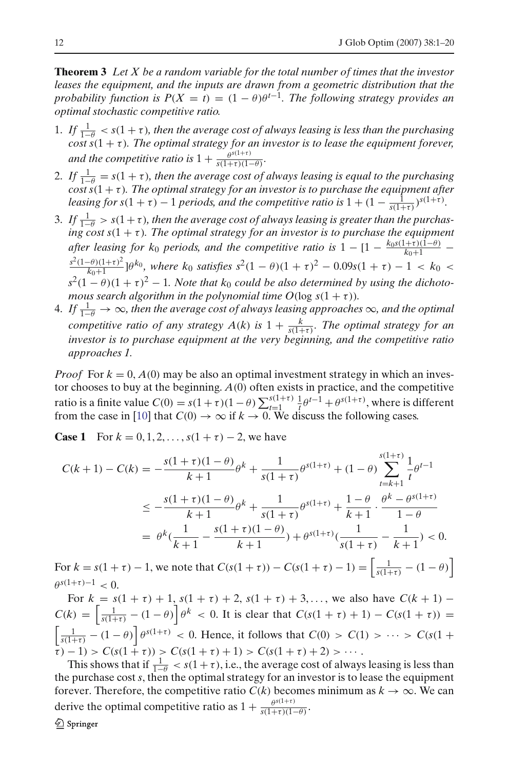**Theorem 3** *Let X be a random variable for the total number of times that the investor leases the equipment, and the inputs are drawn from a geometric distribution that the probability function is*  $P(X = t) = (1 - \theta)\theta^{t-1}$ . The following strategy provides an *optimal stochastic competitive ratio.*

- 1. If  $\frac{1}{1-\theta} < s(1+\tau)$ , then the average cost of always leasing is less than the purchasing  $\cos t s(1 + \tau)$ *. The optimal strategy for an investor is to lease the equipment forever, and the competitive ratio is*  $1 + \frac{\theta^{s(1+\tau)}}{s(1+\tau)(1-\theta)}$ *.*
- 2. If  $\frac{1}{1-\theta} = s(1+\tau)$ , then the average cost of always leasing is equal to the purchasing  $\frac{c_{10}}{c_{100}}$  *cost s*(1 +  $\tau$ )*. The optimal strategy for an investor is to purchase the equipment after leasing for s*(1 +  $\tau$ ) – 1 *periods, and the competitive ratio is*  $1 + (1 - \frac{1}{s(1+\tau)})^{s(1+\tau)}$ *.*
- 3. If  $\frac{1}{1-\theta} > s(1+\tau)$ , then the average cost of always leasing is greater than the purchas*ing cost s*(1 + τ )*. The optimal strategy for an investor is to purchase the equipment after leasing for k<sub>0</sub> periods, and the competitive ratio is*  $1 - [1 - \frac{k_0 s (1+\tau)(1-\theta)}{k_0+1} \frac{s^2(1-\theta)(1+\tau)^2}{k_0+1}$ ]θ<sup>k</sup><sup>0</sup>, where k<sub>0</sub> satisfies  $s^2(1-\theta)(1+\tau)^2 - 0.09s(1+\tau) - 1 < k_0 <$  $s^2(1-\theta)(1+\tau)^2-1$ . Note that  $k_0$  could be also determined by using the dichoto*mous search algorithm in the polynomial time*  $O(\log s(1 + \tau))$ *.*
- 4. If  $\frac{1}{1-\theta}$  → ∞*, then the average cost of always leasing approaches* ∞*, and the optimal competitive ratio of any strategy A(k) is*  $1 + \frac{k}{s(1+\tau)}$ *. The optimal strategy for an investor is to purchase equipment at the very beginning, and the competitive ratio approaches 1.*

*Proof* For  $k = 0$ ,  $A(0)$  may be also an optimal investment strategy in which an investor chooses to buy at the beginning. *A*(0) often exists in practice, and the competitive ratio is a finite value  $C(0) = s(1 + \tau)(1 - \theta) \sum_{t=1}^{s(1+\tau)} \frac{1}{t} \theta^{t-1} + \theta^{s(1+\tau)}$ , where is different from the case in [\[10\]](#page-19-0) that  $C(0) \to \infty$  if  $k \to 0$ . We discuss the following cases.

**Case 1** For  $k = 0, 1, 2, \ldots, s(1 + \tau) - 2$ , we have

$$
C(k+1) - C(k) = -\frac{s(1+\tau)(1-\theta)}{k+1}\theta^k + \frac{1}{s(1+\tau)}\theta^{s(1+\tau)} + (1-\theta)\sum_{t=k+1}^{s(1+\tau)}\frac{1}{t}\theta^{t-1}
$$
  

$$
\leq -\frac{s(1+\tau)(1-\theta)}{k+1}\theta^k + \frac{1}{s(1+\tau)}\theta^{s(1+\tau)} + \frac{1-\theta}{k+1}\cdot\frac{\theta^k - \theta^{s(1+\tau)}}{1-\theta}
$$
  

$$
= \theta^k(\frac{1}{k+1} - \frac{s(1+\tau)(1-\theta)}{k+1}) + \theta^{s(1+\tau)}(\frac{1}{s(1+\tau)} - \frac{1}{k+1}) < 0.
$$

For  $k = s(1 + \tau) - 1$ , we note that  $C(s(1 + \tau)) - C(s(1 + \tau) - 1) = \left[\frac{1}{s(1 + \tau)} - (1 - \theta)\right]$  $\theta^{s(1+\tau)-1} < 0$ .

For  $k = s(1 + \tau) + 1$ ,  $s(1 + \tau) + 2$ ,  $s(1 + \tau) + 3$ ,..., we also have  $C(k + 1)$  –  $C(k) = \left[\frac{1}{s(1+\tau)} - (1-\theta)\right] \theta^k < 0$ . It is clear that  $C(s(1+\tau) + 1) - C(s(1+\tau)) =$  $\left[\frac{1}{s(1+\tau)} - (1-\theta)\right] \theta^{s(1+\tau)} < 0$ . Hence, it follows that  $C(0) > C(1) > \cdots > C(s(1+\tau))$  $(\tau - 1) > C(s(1 + \tau)) > C(s(1 + \tau) + 1) > C(s(1 + \tau) + 2) > \cdots$ 

This shows that if  $\frac{1}{1-\theta} < s(1+\tau)$ , i.e., the average cost of always leasing is less than the purchase cost *s*, then the optimal strategy for an investor is to lease the equipment forever. Therefore, the competitive ratio  $C(k)$  becomes minimum as  $k \to \infty$ . We can derive the optimal competitive ratio as  $1 + \frac{\theta^{s(1+\tau)}}{s(1+\tau)(1-\theta)}$ .

2 Springer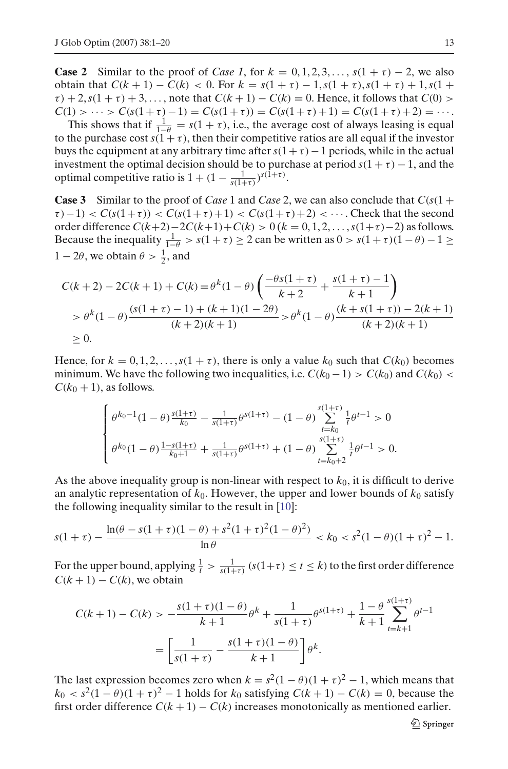**Case 2** Similar to the proof of *Case 1*, for  $k = 0, 1, 2, 3, \ldots, s(1 + \tau) - 2$ , we also obtain that  $C(k + 1) - C(k) < 0$ . For  $k = s(1 + \tau) - 1$ ,  $s(1 + \tau)$ ,  $s(1 + \tau) + 1$ ,  $s(1 + \tau)$  $\tau$ ) + 2,  $s(1 + \tau)$  + 3,..., note that  $C(k + 1) - C(k) = 0$ . Hence, it follows that  $C(0)$  >  $C(1) > \cdots > C(s(1+\tau)-1) = C(s(1+\tau)) = C(s(1+\tau)+1) = C(s(1+\tau)+2) = \cdots$ .

This shows that if  $\frac{1}{1-\theta} = s(1+\tau)$ , i.e., the average cost of always leasing is equal to the purchase cost  $s(1 + \tau)$ , then their competitive ratios are all equal if the investor buys the equipment at any arbitrary time after  $s(1 + \tau) - 1$  periods, while in the actual investment the optimal decision should be to purchase at period  $s(1 + \tau) - 1$ , and the optimal competitive ratio is  $1 + (1 - \frac{1}{s(1+\tau)})^{s(1+\tau)}$ .

**Case 3** Similar to the proof of *Case* 1 and *Case* 2, we can also conclude that  $C(s(1 +$  $\tau$ ) – 1) <  $C(s(1+\tau))$  <  $C(s(1+\tau)+1)$  <  $C(s(1+\tau)+2)$  <  $\cdots$ . Check that the second order difference *C*(*k*+2)−2*C*(*k*+1)+*C*(*k*) > 0 (*k* = 0, 1, 2, ... ,*s*(1+τ )−2) as follows. Because the inequality  $\frac{1}{1-\theta} > s(1+\tau) \ge 2$  can be written as  $0 > s(1+\tau)(1-\theta) - 1 \ge$  $1 - 2\theta$ , we obtain  $\theta > \frac{1}{2}$ , and

$$
C(k+2) - 2C(k+1) + C(k) = \theta^k (1 - \theta) \left( \frac{-\theta s(1+\tau)}{k+2} + \frac{s(1+\tau) - 1}{k+1} \right)
$$
  
>  $\theta^k (1 - \theta) \frac{(s(1+\tau) - 1) + (k+1)(1-2\theta)}{(k+2)(k+1)} > \theta^k (1 - \theta) \frac{(k+s(1+\tau)) - 2(k+1)}{(k+2)(k+1)}$   
\$\geq 0.

Hence, for  $k = 0, 1, 2, \ldots, s(1 + \tau)$ , there is only a value  $k_0$  such that  $C(k_0)$  becomes minimum. We have the following two inequalities, i.e.  $C(k_0 - 1) > C(k_0)$  and  $C(k_0) <$  $C(k_0 + 1)$ , as follows.

$$
\begin{cases} \theta^{k_0-1}(1-\theta)\frac{s(1+\tau)}{k_0} - \frac{1}{s(1+\tau)}\theta^{s(1+\tau)} - (1-\theta)\sum_{t=k_0}^{s(1+\tau)}\frac{1}{t}\theta^{t-1} > 0\\ \theta^{k_0}(1-\theta)\frac{1-s(1+\tau)}{k_0+1} + \frac{1}{s(1+\tau)}\theta^{s(1+\tau)} + (1-\theta)\sum_{t=k_0+2}^{s(1+\tau)}\frac{1}{t}\theta^{t-1} > 0. \end{cases}
$$

As the above inequality group is non-linear with respect to *k*0, it is difficult to derive an analytic representation of  $k_0$ . However, the upper and lower bounds of  $k_0$  satisfy the following inequality similar to the result in [\[10\]](#page-19-0):

$$
s(1+\tau) - \frac{\ln(\theta - s(1+\tau)(1-\theta) + s^2(1+\tau)^2(1-\theta)^2)}{\ln \theta} < k_0 < s^2(1-\theta)(1+\tau)^2 - 1.
$$

For the upper bound, applying  $\frac{1}{t} > \frac{1}{s(1+\tau)} (s(1+\tau) \le t \le k)$  to the first order difference  $C(k+1) - C(k)$ , we obtain

$$
C(k+1) - C(k) > -\frac{s(1+\tau)(1-\theta)}{k+1}\theta^k + \frac{1}{s(1+\tau)}\theta^{s(1+\tau)} + \frac{1-\theta}{k+1}\sum_{t=k+1}^{s(1+\tau)}\theta^{t-1}
$$

$$
= \left[\frac{1}{s(1+\tau)} - \frac{s(1+\tau)(1-\theta)}{k+1}\right]\theta^k.
$$

The last expression becomes zero when  $k = s^2(1 - \theta)(1 + \tau)^2 - 1$ , which means that  $k_0 < s^2(1-\theta)(1+\tau)^2 - 1$  holds for  $k_0$  satisfying  $C(k+1) - C(k) = 0$ , because the first order difference  $C(k + 1) - C(k)$  increases monotonically as mentioned earlier.

 $\mathcal{Q}$  Springer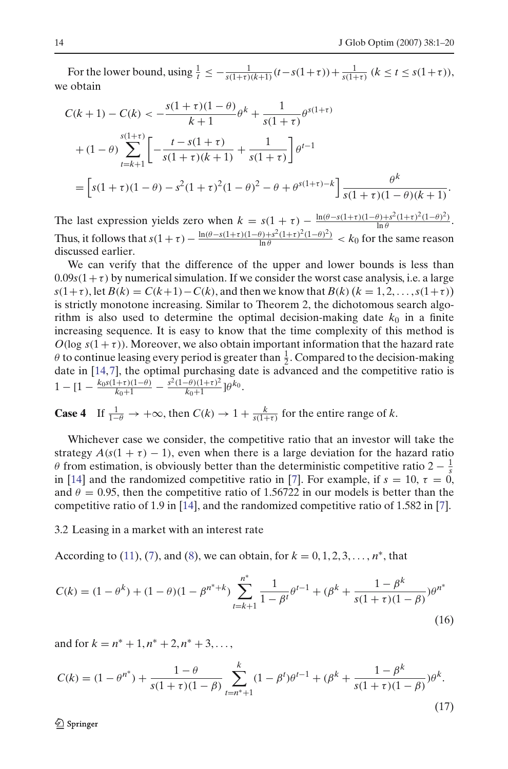For the lower bound, using  $\frac{1}{t} \le -\frac{1}{s(1+\tau)(k+1)}(t-s(1+\tau)) + \frac{1}{s(1+\tau)} (k \le t \le s(1+\tau)),$ we obtain

$$
C(k+1) - C(k) < -\frac{s(1+\tau)(1-\theta)}{k+1}\theta^k + \frac{1}{s(1+\tau)}\theta^{s(1+\tau)}
$$
\n
$$
+ (1-\theta) \sum_{t=k+1}^{s(1+\tau)} \left[ -\frac{t-s(1+\tau)}{s(1+\tau)(k+1)} + \frac{1}{s(1+\tau)} \right] \theta^{t-1}
$$
\n
$$
= \left[ s(1+\tau)(1-\theta) - s^2(1+\tau)^2(1-\theta)^2 - \theta + \theta^{s(1+\tau)-k} \right] \frac{\theta^k}{s(1+\tau)(1-\theta)(k+1)}.
$$

The last expression yields zero when  $k = s(1 + \tau) - \frac{\ln(\theta - s(1+\tau)(1-\theta) + s^2(1+\tau)^2(1-\theta)^2)}{\ln \theta}$ . Thus, it follows that  $s(1 + \tau) - \frac{\ln(\theta - s(1+\tau)(1-\theta) + s^2(1+\tau)^2(1-\theta)^2)}{\ln \theta} < k_0$  for the same reason discussed earlier.

We can verify that the difference of the upper and lower bounds is less than  $0.09s(1+\tau)$  by numerical simulation. If we consider the worst case analysis, i.e. a large *s*(1+τ), let  $B(k) = C(k+1) - C(k)$ , and then we know that  $B(k)$  ( $k = 1, 2, ..., s(1+\tau)$ ) is strictly monotone increasing. Similar to Theorem 2, the dichotomous search algorithm is also used to determine the optimal decision-making date  $k_0$  in a finite increasing sequence. It is easy to know that the time complexity of this method is  $O(\log s(1 + \tau))$ . Moreover, we also obtain important information that the hazard rate  $\theta$  to continue leasing every period is greater than  $\frac{1}{2}$ . Compared to the decision-making date in [\[14,](#page-19-6)[7\]](#page-19-5), the optimal purchasing date is advanced and the competitive ratio is  $1 - [1 - \frac{k_0 s (1+\tau)(1-\theta)}{k_0+1} - \frac{s^2 (1-\theta)(1+\tau)^2}{k_0+1}] \theta^{k_0}.$ 

**Case 4** If 
$$
\frac{1}{1-\theta} \to +\infty
$$
, then  $C(k) \to 1 + \frac{k}{s(1+\tau)}$  for the entire range of k.

Whichever case we consider, the competitive ratio that an investor will take the strategy  $A(s(1 + \tau) - 1)$ , even when there is a large deviation for the hazard ratio  $\theta$  from estimation, is obviously better than the deterministic competitive ratio 2 –  $\frac{1}{s}$ in [\[14\]](#page-19-6) and the randomized competitive ratio in [\[7](#page-19-5)]. For example, if  $s = 10$ ,  $\tau = 0$ , and  $\theta = 0.95$ , then the competitive ratio of 1.56722 in our models is better than the competitive ratio of 1.9 in [\[14\]](#page-19-6), and the randomized competitive ratio of 1.582 in [\[7](#page-19-5)].

3.2 Leasing in a market with an interest rate

According to [\(11\)](#page-10-0), [\(7\)](#page-6-0), and [\(8\)](#page-6-1), we can obtain, for  $k = 0, 1, 2, 3, ..., n^*$ , that

<span id="page-13-0"></span>
$$
C(k) = (1 - \theta^k) + (1 - \theta)(1 - \beta^{n^* + k}) \sum_{t=k+1}^{n^*} \frac{1}{1 - \beta^t} \theta^{t-1} + (\beta^k + \frac{1 - \beta^k}{s(1 + \tau)(1 - \beta)}) \theta^{n^*}
$$
\n(16)

and for  $k = n^* + 1, n^* + 2, n^* + 3, \ldots$ 

<span id="page-13-1"></span>
$$
C(k) = (1 - \theta^{n^*}) + \frac{1 - \theta}{s(1 + \tau)(1 - \beta)} \sum_{t=n^*+1}^{k} (1 - \beta^t)\theta^{t-1} + (\beta^k + \frac{1 - \beta^k}{s(1 + \tau)(1 - \beta)})\theta^k.
$$
\n(17)

 $\mathcal{Q}$  Springer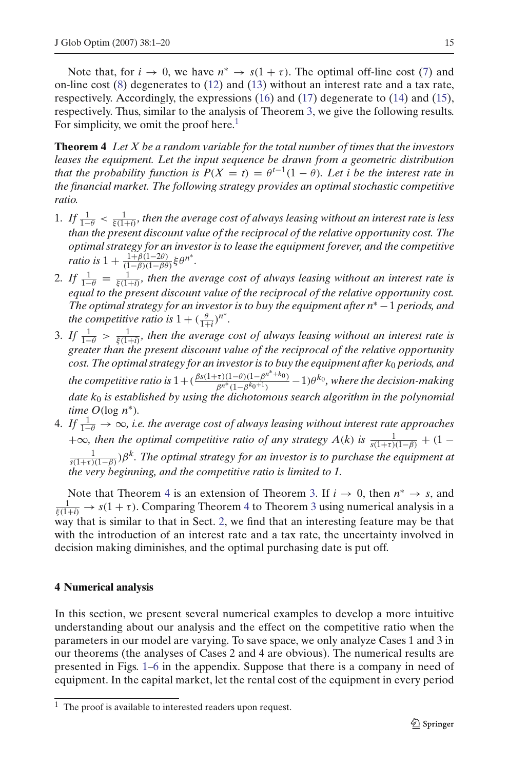Note that, for  $i \to 0$ , we have  $n^* \to s(1 + \tau)$ . The optimal off-line cost [\(7\)](#page-6-0) and on-line cost [\(8\)](#page-6-1) degenerates to [\(12\)](#page-10-1) and [\(13\)](#page-10-2) without an interest rate and a tax rate, respectively. Accordingly, the expressions [\(16\)](#page-13-0) and [\(17\)](#page-13-1) degenerate to [\(14\)](#page-10-3) and [\(15\)](#page-10-4), respectively. Thus, similar to the analysis of Theorem [3,](#page-10-5) we give the following results. For simplicity, we omit the proof here.<sup>1</sup>

<span id="page-14-2"></span>**Theorem 4** *Let X be a random variable for the total number of times that the investors leases the equipment. Let the input sequence be drawn from a geometric distribution that the probability function is*  $P(X = t) = \theta^{t-1}(1 - \theta)$ *. Let i be the interest rate in the financial market. The following strategy provides an optimal stochastic competitive ratio.*

- 1. If  $\frac{1}{1-\theta}<\frac{1}{\xi(1+i)}$ , then the average cost of always leasing without an interest rate is less *than the present discount value of the reciprocal of the relative opportunity cost. The optimal strategy for an investor is to lease the equipment forever, and the competitive ratio is*  $1 + \frac{1+\beta(1-2\theta)}{(1-\beta)(1-\beta\theta)} \xi \theta^{n^*}.$
- 2. If  $\frac{1}{1-\theta} = \frac{1}{\xi(1+i)}$ , then the average cost of always leasing without an interest rate is *equal to the present discount value of the reciprocal of the relative opportunity cost. The optimal strategy for an investor is to buy the equipment after n*<sup>∗</sup> −1 *periods, and the competitive ratio is*  $1 + (\frac{\theta}{1+i})^{n^*}$ .
- 3. If  $\frac{1}{1-\theta} > \frac{1}{\xi(1+i)}$ , then the average cost of always leasing without an interest rate is *greater than the present discount value of the reciprocal of the relative opportunity cost. The optimal strategy for an investor is to buy the equipment after k*<sup>0</sup> *periods, and the competitive ratio is*  $1 + (\frac{\beta s(1+\tau)(1-\theta)(1-\beta^{n^*}+k_0)}{\beta^{n^*}(1-\beta^{k_0+1})} - 1)\theta^{k_0}$ *, where the decision-making date k*<sup>0</sup> *is established by using the dichotomous search algorithm in the polynomial time O*( $\log n$ <sup>\*</sup>).
- 4. If  $\frac{1}{1-\theta}$  → ∞, i.e. the average cost of always leasing without interest rate approaches  $+\infty$ *, then the optimal competitive ratio of any strategy A(k) is*  $\frac{1}{s(1+\tau)(1-\beta)} + (1-\tau)(1-\tau)$ 1 *<sup>s</sup>*(1+τ )(1−β))β*k. The optimal strategy for an investor is to purchase the equipment at the very beginning, and the competitive ratio is limited to 1.*

Note that Theorem [4](#page-14-2) is an extension of Theorem [3.](#page-10-5) If  $i \to 0$ , then  $n^* \to s$ , and  $\frac{1}{\xi(1+i)} \to s(1+\tau)$ . Comparing Theorem [4](#page-14-2) to Theorem [3](#page-10-5) using numerical analysis in a way that is similar to that in Sect. [2,](#page-4-0) we find that an interesting feature may be that with the introduction of an interest rate and a tax rate, the uncertainty involved in decision making diminishes, and the optimal purchasing date is put off.

### <span id="page-14-0"></span>**4 Numerical analysis**

In this section, we present several numerical examples to develop a more intuitive understanding about our analysis and the effect on the competitive ratio when the parameters in our model are varying. To save space, we only analyze Cases 1 and 3 in our theorems (the analyses of Cases 2 and 4 are obvious). The numerical results are presented in Figs. [1–](#page-15-0)[6](#page-18-1) in the appendix. Suppose that there is a company in need of equipment. In the capital market, let the rental cost of the equipment in every period

<span id="page-14-1"></span> $1$  The proof is available to interested readers upon request.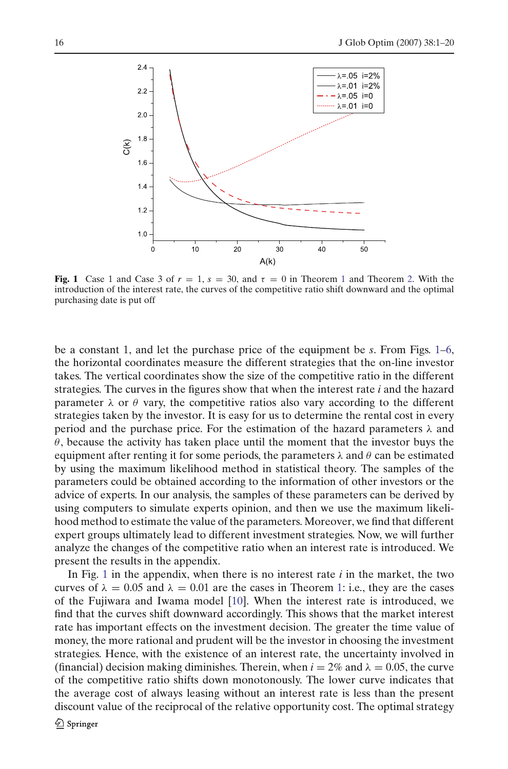

<span id="page-15-0"></span>**Fig. [1](#page-5-4)** Case 1 and Case 3 of  $r = 1$ ,  $s = 30$ , and  $\tau = 0$  in Theorem 1 and Theorem [2.](#page-6-4) With the introduction of the interest rate, the curves of the competitive ratio shift downward and the optimal purchasing date is put off

be a constant 1, and let the purchase price of the equipment be *s*. From Figs. [1](#page-15-0)[–6,](#page-18-1) the horizontal coordinates measure the different strategies that the on-line investor takes. The vertical coordinates show the size of the competitive ratio in the different strategies. The curves in the figures show that when the interest rate *i* and the hazard parameter  $\lambda$  or  $\theta$  vary, the competitive ratios also vary according to the different strategies taken by the investor. It is easy for us to determine the rental cost in every period and the purchase price. For the estimation of the hazard parameters  $\lambda$  and  $\theta$ , because the activity has taken place until the moment that the investor buys the equipment after renting it for some periods, the parameters  $\lambda$  and  $\theta$  can be estimated by using the maximum likelihood method in statistical theory. The samples of the parameters could be obtained according to the information of other investors or the advice of experts. In our analysis, the samples of these parameters can be derived by using computers to simulate experts opinion, and then we use the maximum likelihood method to estimate the value of the parameters. Moreover, we find that different expert groups ultimately lead to different investment strategies. Now, we will further analyze the changes of the competitive ratio when an interest rate is introduced. We present the results in the appendix.

In Fig. [1](#page-15-0) in the appendix, when there is no interest rate  $i$  in the market, the two curves of  $\lambda = 0.05$  and  $\lambda = 0.01$  are the cases in Theorem [1:](#page-5-4) i.e., they are the cases of the Fujiwara and Iwama model [\[10](#page-19-0)]. When the interest rate is introduced, we find that the curves shift downward accordingly. This shows that the market interest rate has important effects on the investment decision. The greater the time value of money, the more rational and prudent will be the investor in choosing the investment strategies. Hence, with the existence of an interest rate, the uncertainty involved in (financial) decision making diminishes. Therein, when  $i = 2\%$  and  $\lambda = 0.05$ , the curve of the competitive ratio shifts down monotonously. The lower curve indicates that the average cost of always leasing without an interest rate is less than the present discount value of the reciprocal of the relative opportunity cost. The optimal strategy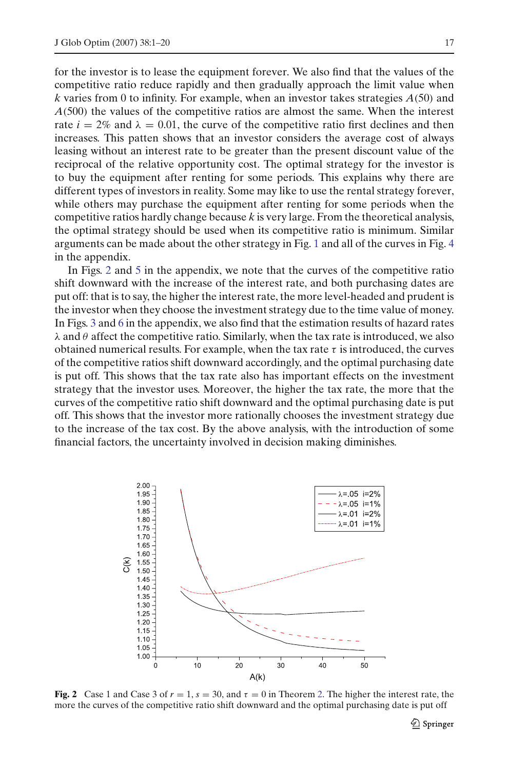for the investor is to lease the equipment forever. We also find that the values of the competitive ratio reduce rapidly and then gradually approach the limit value when *k* varies from 0 to infinity. For example, when an investor takes strategies *A*(50) and *A*(500) the values of the competitive ratios are almost the same. When the interest rate  $i = 2\%$  and  $\lambda = 0.01$ , the curve of the competitive ratio first declines and then increases. This patten shows that an investor considers the average cost of always leasing without an interest rate to be greater than the present discount value of the reciprocal of the relative opportunity cost. The optimal strategy for the investor is to buy the equipment after renting for some periods. This explains why there are different types of investors in reality. Some may like to use the rental strategy forever, while others may purchase the equipment after renting for some periods when the competitive ratios hardly change because *k* is very large. From the theoretical analysis, the optimal strategy should be used when its competitive ratio is minimum. Similar arguments can be made about the other strategy in Fig. [1](#page-15-0) and all of the curves in Fig. [4](#page-17-0) in the appendix.

In Figs. [2](#page-16-0) and [5](#page-18-2) in the appendix, we note that the curves of the competitive ratio shift downward with the increase of the interest rate, and both purchasing dates are put off: that is to say, the higher the interest rate, the more level-headed and prudent is the investor when they choose the investment strategy due to the time value of money. In Figs. [3](#page-17-1) and [6](#page-18-1) in the appendix, we also find that the estimation results of hazard rates  $\lambda$  and  $\theta$  affect the competitive ratio. Similarly, when the tax rate is introduced, we also obtained numerical results. For example, when the tax rate  $\tau$  is introduced, the curves of the competitive ratios shift downward accordingly, and the optimal purchasing date is put off. This shows that the tax rate also has important effects on the investment strategy that the investor uses. Moreover, the higher the tax rate, the more that the curves of the competitive ratio shift downward and the optimal purchasing date is put off. This shows that the investor more rationally chooses the investment strategy due to the increase of the tax cost. By the above analysis, with the introduction of some financial factors, the uncertainty involved in decision making diminishes.



<span id="page-16-0"></span>**Fig. 2** Case 1 and Case 3 of  $r = 1$ ,  $s = 30$ , and  $\tau = 0$  in Theorem [2.](#page-6-4) The higher the interest rate, the more the curves of the competitive ratio shift downward and the optimal purchasing date is put off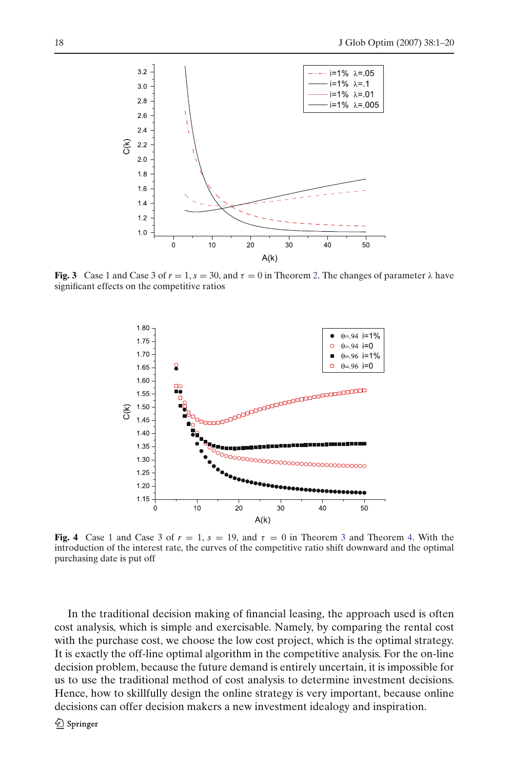

<span id="page-17-1"></span>**Fig. 3** Case 1 and Case 3 of  $r = 1$ ,  $s = 30$ , and  $\tau = 0$  in Theorem [2.](#page-6-4) The changes of parameter  $\lambda$  have significant effects on the competitive ratios



<span id="page-17-0"></span>**Fig. 4** Case 1 and Case [3](#page-10-5) of  $r = 1$ ,  $s = 19$ , and  $\tau = 0$  in Theorem 3 and Theorem [4.](#page-14-2) With the introduction of the interest rate, the curves of the competitive ratio shift downward and the optimal purchasing date is put off

In the traditional decision making of financial leasing, the approach used is often cost analysis, which is simple and exercisable. Namely, by comparing the rental cost with the purchase cost, we choose the low cost project, which is the optimal strategy. It is exactly the off-line optimal algorithm in the competitive analysis. For the on-line decision problem, because the future demand is entirely uncertain, it is impossible for us to use the traditional method of cost analysis to determine investment decisions. Hence, how to skillfully design the online strategy is very important, because online decisions can offer decision makers a new investment idealogy and inspiration.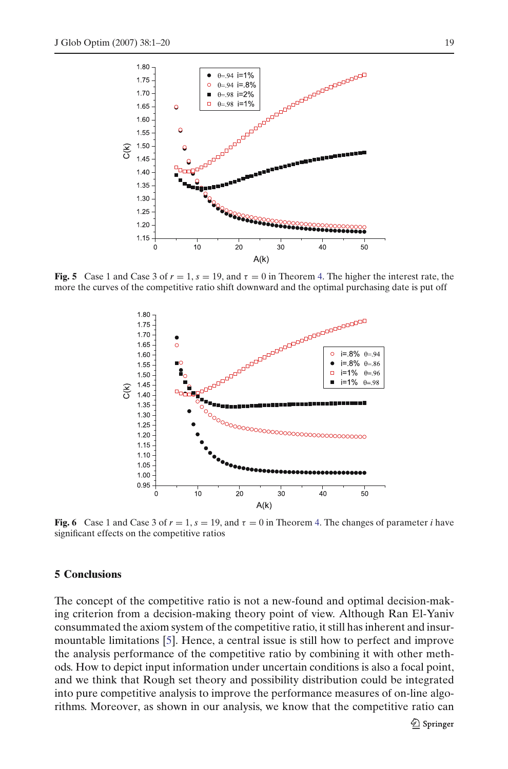

<span id="page-18-2"></span>**Fig. 5** Case 1 and Case 3 of  $r = 1$ ,  $s = 19$ , and  $\tau = 0$  in Theorem [4.](#page-14-2) The higher the interest rate, the more the curves of the competitive ratio shift downward and the optimal purchasing date is put off



<span id="page-18-1"></span>**Fig. 6** Case 1 and Case 3 of  $r = 1$ ,  $s = 19$ , and  $\tau = 0$  in Theorem [4.](#page-14-2) The changes of parameter *i* have significant effects on the competitive ratios

#### <span id="page-18-0"></span>**5 Conclusions**

The concept of the competitive ratio is not a new-found and optimal decision-making criterion from a decision-making theory point of view. Although Ran El-Yaniv consummated the axiom system of the competitive ratio, it still has inherent and insurmountable limitations [\[5\]](#page-19-18). Hence, a central issue is still how to perfect and improve the analysis performance of the competitive ratio by combining it with other methods. How to depict input information under uncertain conditions is also a focal point, and we think that Rough set theory and possibility distribution could be integrated into pure competitive analysis to improve the performance measures of on-line algorithms. Moreover, as shown in our analysis, we know that the competitive ratio can